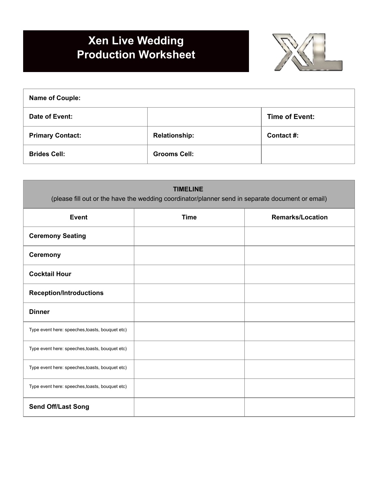## **Xen Live Wedding Production Worksheet**



| <b>Name of Couple:</b>  |                      |                       |
|-------------------------|----------------------|-----------------------|
| Date of Event:          |                      | <b>Time of Event:</b> |
| <b>Primary Contact:</b> | <b>Relationship:</b> | Contact #:            |
| <b>Brides Cell:</b>     | <b>Grooms Cell:</b>  |                       |

| <b>TIMELINE</b><br>(please fill out or the have the wedding coordinator/planner send in separate document or email) |             |                         |
|---------------------------------------------------------------------------------------------------------------------|-------------|-------------------------|
| <b>Event</b>                                                                                                        | <b>Time</b> | <b>Remarks/Location</b> |
| <b>Ceremony Seating</b>                                                                                             |             |                         |
| <b>Ceremony</b>                                                                                                     |             |                         |
| <b>Cocktail Hour</b>                                                                                                |             |                         |
| <b>Reception/Introductions</b>                                                                                      |             |                         |
| <b>Dinner</b>                                                                                                       |             |                         |
| Type event here: speeches, toasts, bouquet etc)                                                                     |             |                         |
| Type event here: speeches, toasts, bouquet etc)                                                                     |             |                         |
| Type event here: speeches, toasts, bouquet etc)                                                                     |             |                         |
| Type event here: speeches, toasts, bouquet etc)                                                                     |             |                         |
| <b>Send Off/Last Song</b>                                                                                           |             |                         |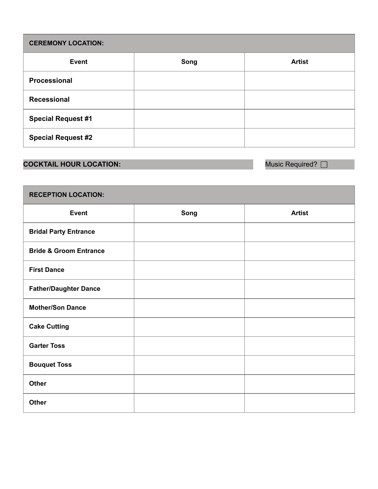| <b>CEREMONY LOCATION:</b> |      |               |
|---------------------------|------|---------------|
| <b>Event</b>              | Song | <b>Artist</b> |
| Processional              |      |               |
| <b>Recessional</b>        |      |               |
| <b>Special Request #1</b> |      |               |
| <b>Special Request #2</b> |      |               |

## **COCKTAIL HOUR LOCATION: Music Required?**  $\Box$

| <b>RECEPTION LOCATION:</b>        |      |               |  |
|-----------------------------------|------|---------------|--|
| <b>Event</b>                      | Song | <b>Artist</b> |  |
| <b>Bridal Party Entrance</b>      |      |               |  |
| <b>Bride &amp; Groom Entrance</b> |      |               |  |
| <b>First Dance</b>                |      |               |  |
| <b>Father/Daughter Dance</b>      |      |               |  |
| <b>Mother/Son Dance</b>           |      |               |  |
| <b>Cake Cutting</b>               |      |               |  |
| <b>Garter Toss</b>                |      |               |  |
| <b>Bouquet Toss</b>               |      |               |  |
| <b>Other</b>                      |      |               |  |
| <b>Other</b>                      |      |               |  |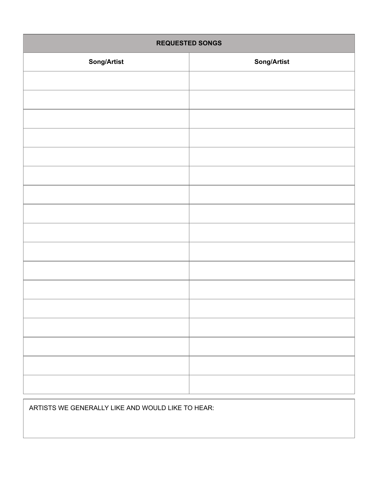| <b>REQUESTED SONGS</b> |             |  |
|------------------------|-------------|--|
| <b>Song/Artist</b>     | Song/Artist |  |
|                        |             |  |
|                        |             |  |
|                        |             |  |
|                        |             |  |
|                        |             |  |
|                        |             |  |
|                        |             |  |
|                        |             |  |
|                        |             |  |
|                        |             |  |
|                        |             |  |
|                        |             |  |
|                        |             |  |
|                        |             |  |
|                        |             |  |
|                        |             |  |
|                        |             |  |
|                        |             |  |

ARTISTS WE GENERALLY LIKE AND WOULD LIKE TO HEAR: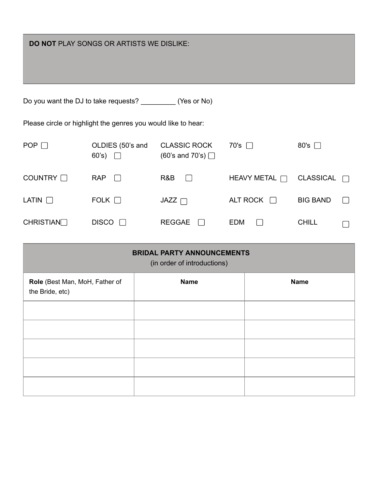| <b>DO NOT PLAY SONGS OR ARTISTS WE DISLIKE:</b>                |                                  |                                                 |                    |                                  |
|----------------------------------------------------------------|----------------------------------|-------------------------------------------------|--------------------|----------------------------------|
| Do you want the DJ to take requests? _____________ (Yes or No) |                                  |                                                 |                    |                                  |
| Please circle or highlight the genres you would like to hear:  |                                  |                                                 |                    |                                  |
| POP $\Box$                                                     | OLDIES (50's and<br>60's) $\Box$ | <b>CLASSIC ROCK</b><br>$(60's$ and 70's) $\Box$ | 70's               | 80's $\Box$                      |
| COUNTRY □                                                      | <b>RAP</b><br>$\mathbf{L}$       | R&B<br>$\vert$ $\vert$                          | HEAVY METAL $\Box$ | <b>CLASSICAL</b><br>$\mathbf{1}$ |
| LATIN $\Box$                                                   | FOLK $\Box$                      | $JAZZ$ $\Box$                                   | ALT ROCK $\Box$    | <b>BIG BAND</b>                  |
| <b>CHRISTIAN</b>                                               | <b>DISCO</b>                     | <b>REGGAE</b>                                   | <b>EDM</b>         | <b>CHILL</b>                     |

| <b>BRIDAL PARTY ANNOUNCEMENTS</b><br>(in order of introductions) |             |             |  |
|------------------------------------------------------------------|-------------|-------------|--|
| Role (Best Man, MoH, Father of<br>the Bride, etc)                | <b>Name</b> | <b>Name</b> |  |
|                                                                  |             |             |  |
|                                                                  |             |             |  |
|                                                                  |             |             |  |
|                                                                  |             |             |  |
|                                                                  |             |             |  |